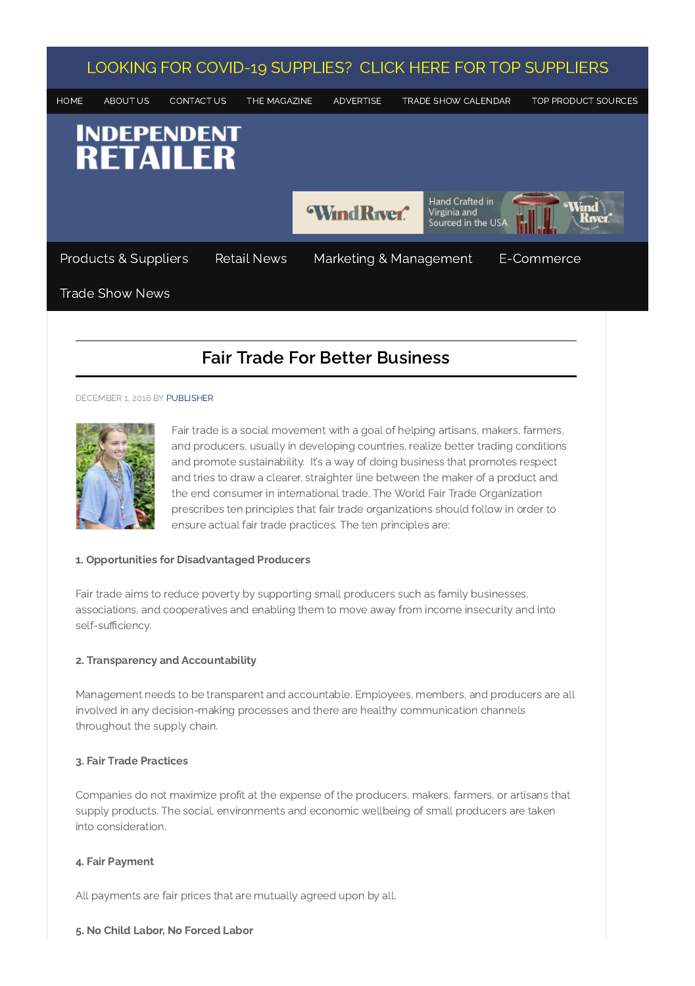

# Fair Trade For Better Business

#### DECEMBER 1, 2016 BY [PUBLISHER](https://independentretailer.com/author/publisher/)



Fair trade is a social movement with a goal of helping artisans, makers, farmers, and producers, usually in developing countries, realize better trading conditions and promote sustainability. It's a way of doing business that promotes respect and tries to draw a clearer, straighter line between the maker of a product and the end consumer in international trade. The World Fair Trade Organization prescribes ten principles that fair trade organizations should follow in order to ensure actual fair trade practices. The ten principles are:

# 1. Opportunities for Disadvantaged Producers

Fair trade aims to reduce poverty by supporting small producers such as family businesses, associations, and cooperatives and enabling them to move away from income insecurity and into self-sufficiency.

## 2. Transparency and Accountability

Management needs to be transparent and accountable. Employees, members, and producers are all involved in any decision-making processes and there are healthy communication channels throughout the supply chain.

## 3. Fair Trade Practices

Companies do not maximize profit at the expense of the producers, makers, farmers, or artisans that supply products. The social, environments and economic wellbeing of small producers are taken into consideration.

## 4. Fair Payment

All payments are fair prices that are mutually agreed upon by all.

### 5. No Child Labor, No Forced Labor